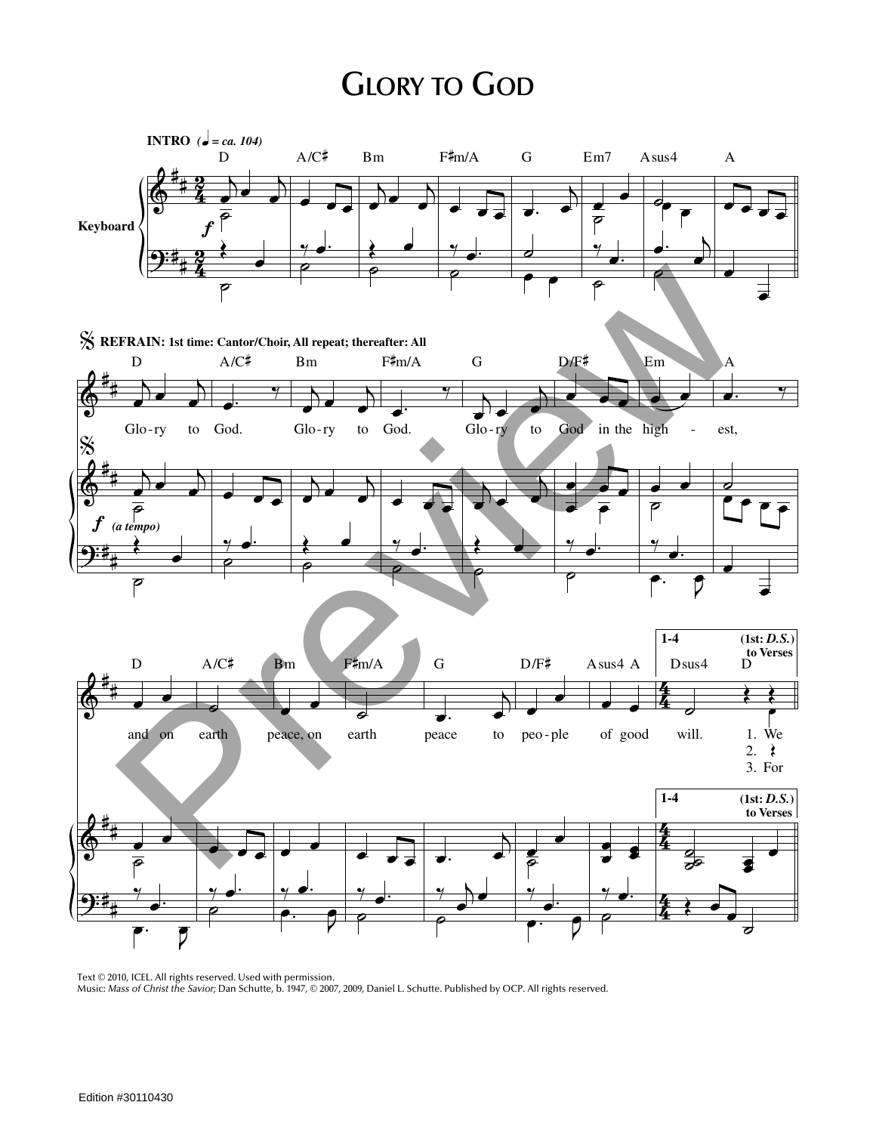## **GLORY TO GOD**



Text © 2010, ICEL. All rights reserved. Used with permission. Music: *Mass of Christ the Savior;* Dan Schutte, b. 1947, © 2007, 2009, Daniel L. Schutte. Published by OCP. All rights reserved.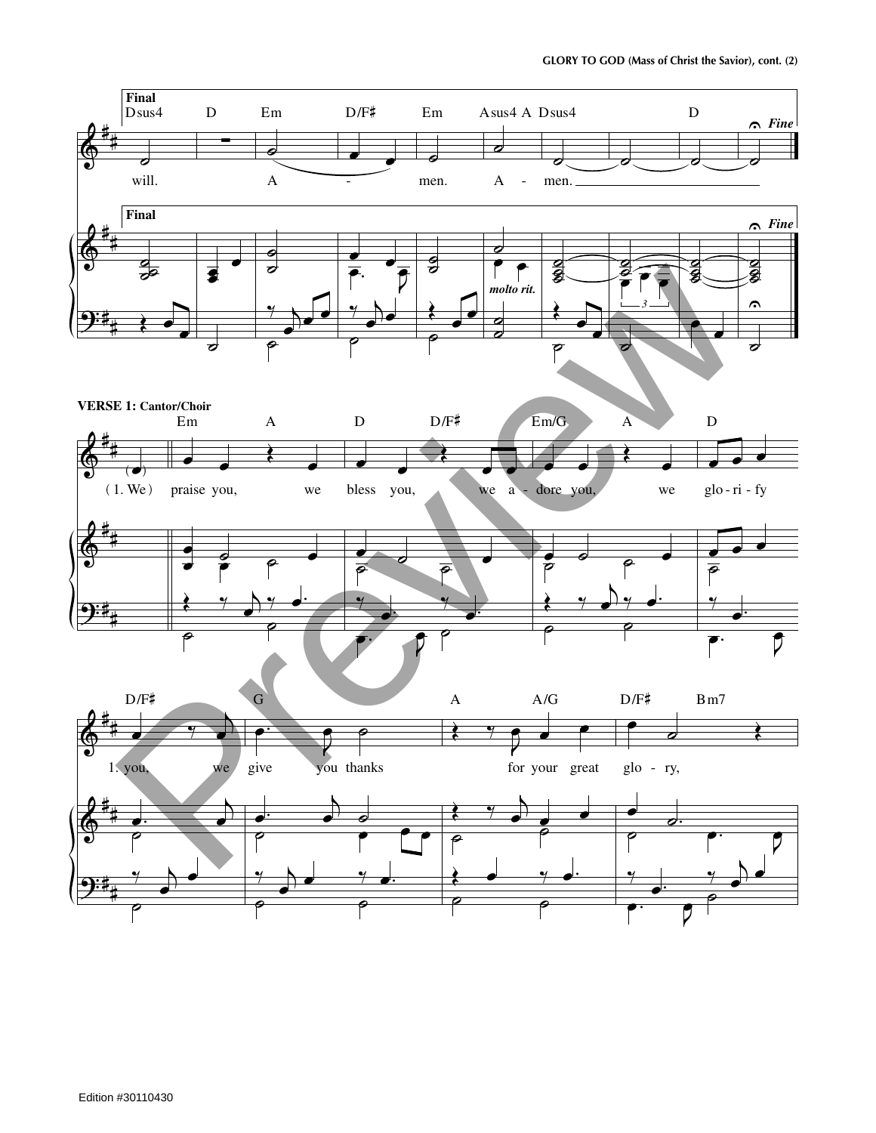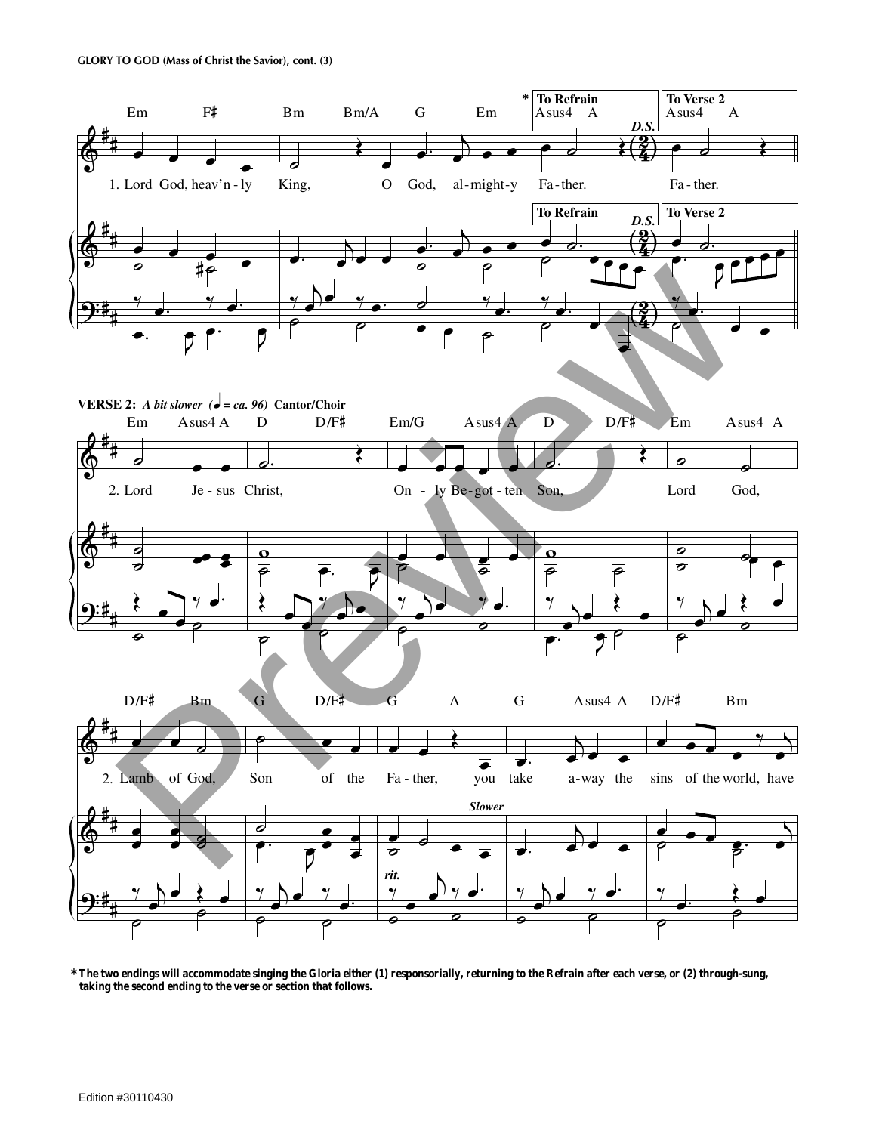

**<sup>\*</sup>The two endings will accommodate singing the Gloria either (1) responsorially, returning to the Refrain after each verse, or (2) through-sung, taking the second ending to the verse or section that follows.**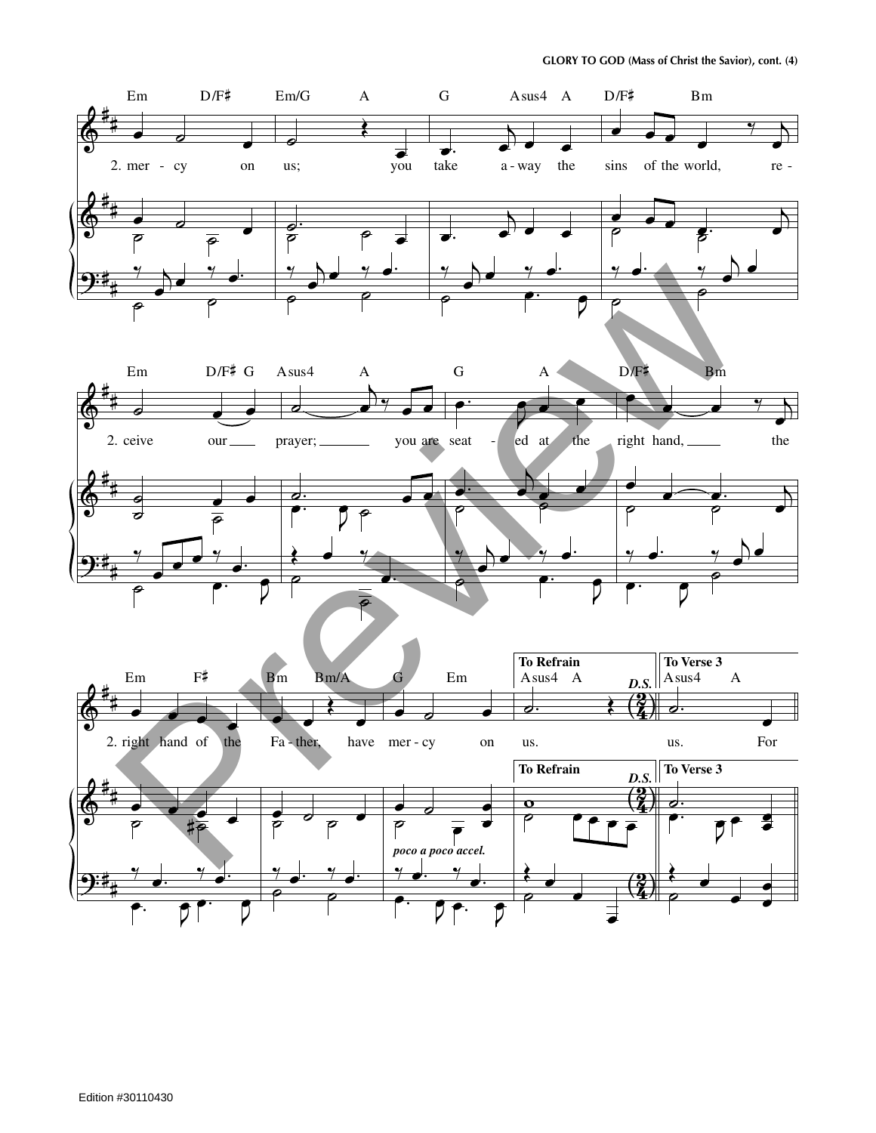